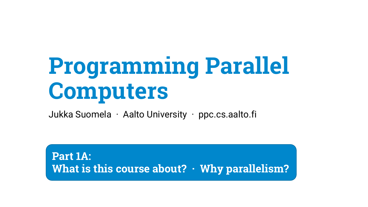## **Programming Parallel Computers**

Jukka Suomela · Aalto University · ppc.cs.aalto.fi

**Part 1A: What is this course about? · Why parallelism?**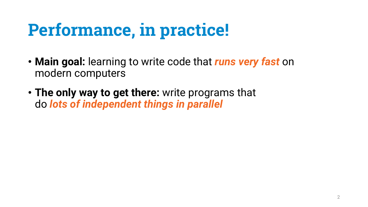## **Performance, in practice!**

- **Main goal:** learning to write code that *runs very fast* on modern computers
- **The only way to get there:** write programs that do *lots of independent things in parallel*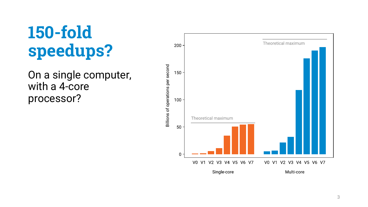### **150 -fold speedups?**

On a single computer, with a 4 -core processor?

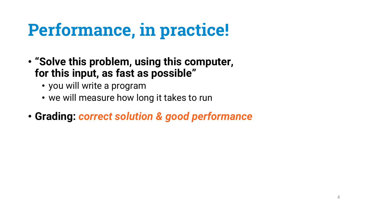## **Performance, in practice!**

- **"Solve this problem, using this computer, for this input, as fast as possible"**
	- you will write a program
	- we will measure how long it takes to run
- **Grading:** *correct solution & good performance*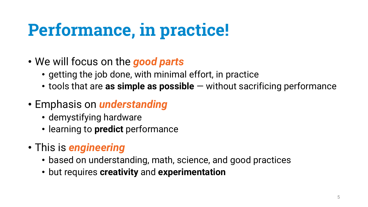## **Performance, in practice!**

- We will focus on the *good parts*
	- getting the job done, with minimal effort, in practice
	- tools that are as simple as possible without sacrificing performance
- Emphasis on *understanding*
	- demystifying hardware
	- learning to **predict** performance
- This is *engineering*
	- based on understanding, math, science, and good practices
	- but requires **creativity** and **experimentation**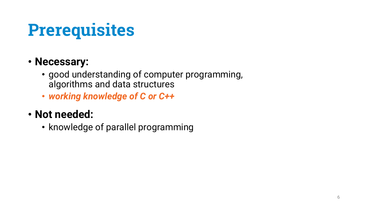## **Prerequisites**

#### • **Necessary:**

- good understanding of computer programming, algorithms and data structures
- *working knowledge of C or C++*
- **Not needed:**
	- knowledge of parallel programming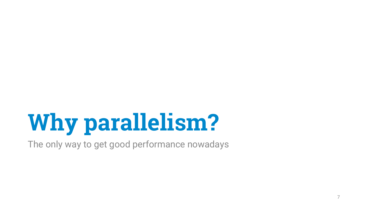# **Why parallelism?**

The only way to get good performance nowadays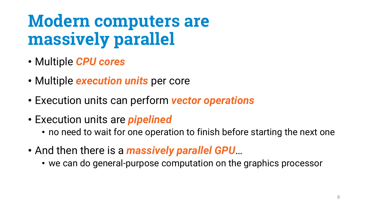### **Modern computers are massively parallel**

- Multiple *CPU cores*
- Multiple *execution units* per core
- Execution units can perform *vector operations*
- Execution units are *pipelined*
	- no need to wait for one operation to finish before starting the next one
- And then there is a *massively parallel GPU*…
	- we can do general-purpose computation on the graphics processor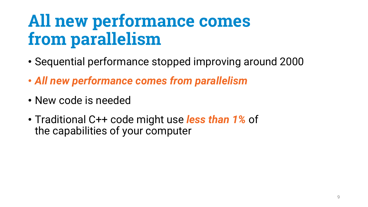### **All new performance comes from parallelism**

- Sequential performance stopped improving around 2000
- *All new performance comes from parallelism*
- New code is needed
- Traditional C++ code might use *less than 1%* of the capabilities of your computer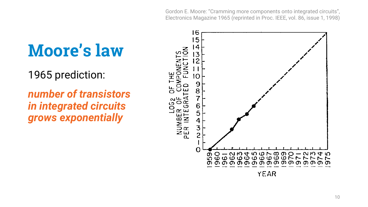Gordon E. Moore: "Cramming more components onto integrated circuits", Electronics Magazine 1965 (reprinted in Proc. IEEE, vol. 86, issue 1, 1998)

#### **Moore's law**

1965 prediction:

*number of transistors in integrated circuits grows exponentially*

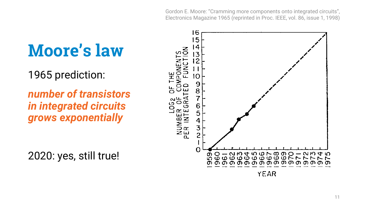Gordon E. Moore: "Cramming more components onto integrated circuits", Electronics Magazine 1965 (reprinted in Proc. IEEE, vol. 86, issue 1, 1998)

#### **Moore's law**

1965 prediction:

*number of transistors in integrated circuits grows exponentially*

2020: yes, still true!

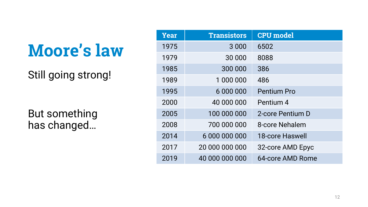#### **Moore's law**

Still going strong!

But something has changed…

| <b>Year</b> | <b>Transistors</b> | <b>CPU</b> model   |
|-------------|--------------------|--------------------|
| 1975        | 3 0 0 0            | 6502               |
| 1979        | 30 000             | 8088               |
| 1985        | 300 000            | 386                |
| 1989        | 1 000 000          | 486                |
| 1995        | 6 000 000          | <b>Pentium Pro</b> |
| 2000        | 40 000 000         | Pentium 4          |
| 2005        | 100 000 000        | 2-core Pentium D   |
| 2008        | 700 000 000        | 8-core Nehalem     |
| 2014        | 6 000 000 000      | 18-core Haswell    |
| 2017        | 20 000 000 000     | 32-core AMD Epyc   |
| 2019        | 40 000 000 000     | 64-core AMD Rome   |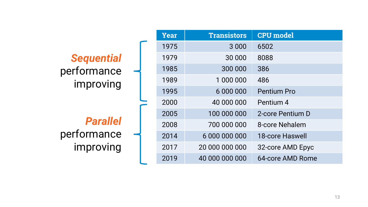|                   | <b>Year</b> | <b>Transistors</b> | <b>CPU</b> model   |
|-------------------|-------------|--------------------|--------------------|
|                   | 1975        | 3 0 0 0            | 6502               |
| <b>Sequential</b> | 1979        | 30 000             | 8088               |
| performance       | 1985        | 300 000            | 386                |
| improving         | 1989        | 1 000 000          | 486                |
|                   | 1995        | 6 000 000          | <b>Pentium Pro</b> |
|                   | 2000        | 40 000 000         | Pentium 4          |
|                   | 2005        | 100 000 000        | 2-core Pentium D   |
| <b>Parallel</b>   | 2008        | 700 000 000        | 8-core Nehalem     |
| performance       | 2014        | 6 000 000 000      | 18-core Haswell    |
| improving         | 2017        | 20 000 000 000     | 32-core AMD Epyc   |
|                   | 2019        | 40 000 000 000     | 64-core AMD Rome   |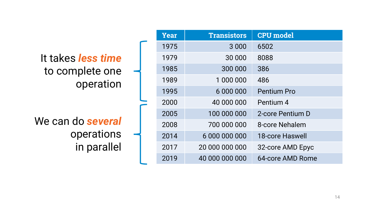|                           |  | Year | <b>Transistors</b> | <b>CPU</b> model       |
|---------------------------|--|------|--------------------|------------------------|
|                           |  | 1975 | 3 0 0 0            | 6502                   |
| It takes <i>less time</i> |  | 1979 | 30 000             | 8088                   |
| to complete one           |  | 1985 | 300 000            | 386                    |
| operation                 |  | 1989 | 1 000 000          | 486                    |
|                           |  | 1995 | 6 000 000          | <b>Pentium Pro</b>     |
|                           |  | 2000 | 40 000 000         | Pentium 4              |
|                           |  | 2005 | 100 000 000        | 2-core Pentium D       |
| We can do several         |  | 2008 | 700 000 000        | 8-core Nehalem         |
| operations                |  | 2014 | 6 000 000 000      | <b>18-core Haswell</b> |
| in parallel               |  | 2017 | 20 000 000 000     | 32-core AMD Epyc       |
|                           |  | 2019 | 40 000 000 000     | 64-core AMD Rome       |
|                           |  |      |                    |                        |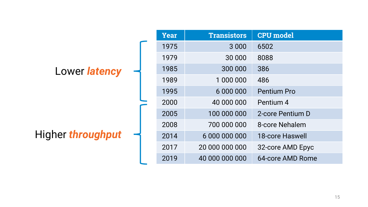|                   | Year | <b>Transistors</b> | <b>CPU</b> model       |
|-------------------|------|--------------------|------------------------|
|                   | 1975 | 3 0 0 0            | 6502                   |
|                   | 1979 | 30 000             | 8088                   |
| Lower latency     | 1985 | 300 000            | 386                    |
|                   | 1989 | 1 000 000          | 486                    |
|                   | 1995 | 6 000 000          | <b>Pentium Pro</b>     |
|                   | 2000 | 40 000 000         | Pentium 4              |
|                   | 2005 | 100 000 000        | 2-core Pentium D       |
|                   | 2008 | 700 000 000        | 8-core Nehalem         |
| Higher throughput | 2014 | 6 000 000 000      | <b>18-core Haswell</b> |
|                   | 2017 | 20 000 000 000     | 32-core AMD Epyc       |
|                   | 2019 | 40 000 000 000     | 64-core AMD Rome       |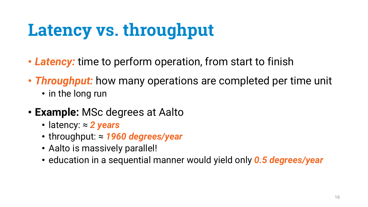## **Latency vs. throughput**

- *Latency:* time to perform operation, from start to finish
- *Throughput:* how many operations are completed per time unit
	- in the long run
- **Example:** MSc degrees at Aalto
	- latency: ≈ *2 years*
	- throughput: ≈ *1960 degrees/year*
	- Aalto is massively parallel!
	- education in a sequential manner would yield only *0.5 degrees/year*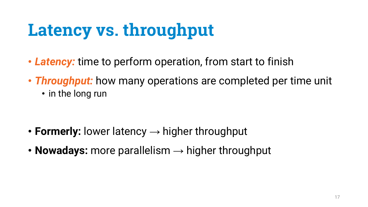## **Latency vs. throughput**

- *Latency:* time to perform operation, from start to finish
- *Throughput:* how many operations are completed per time unit
	- in the long run

- **Formerly:** lower latency → higher throughput
- **Nowadays:** more parallelism  $\rightarrow$  higher throughput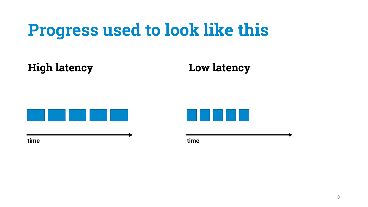### **Progress used to look like this**

**High latency Low latency**





**time time**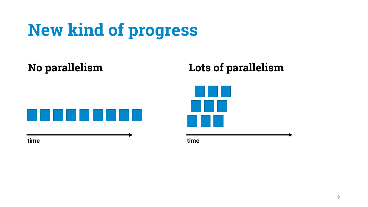## **New kind of progress**

**No parallelism Lots of parallelism**





**time time**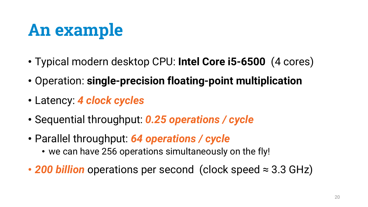- Typical modern desktop CPU: **Intel Core i5-6500** (4 cores)
- Operation: **single-precision floating-point multiplication**
- Latency: *4 clock cycles*
- Sequential throughput: *0.25 operations / cycle*
- Parallel throughput: *64 operations / cycle*
	- we can have 256 operations simultaneously on the fly!
- *200 billion* operations per second (clock speed ≈ 3.3 GHz)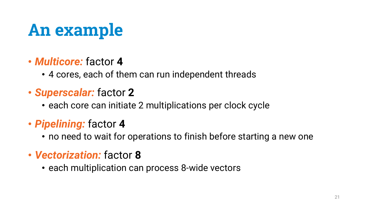- *Multicore:* factor **4**
	- 4 cores, each of them can run independent threads
- *Superscalar:* factor **2**
	- each core can initiate 2 multiplications per clock cycle
- *Pipelining:* factor **4**
	- no need to wait for operations to finish before starting a new one
- *Vectorization:* factor **8**
	- each multiplication can process 8-wide vectors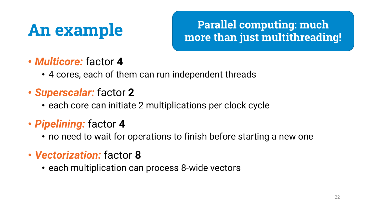**Parallel computing: much more than just multithreading!**

- *Multicore:* factor **4**
	- 4 cores, each of them can run independent threads
- *Superscalar:* factor **2**
	- each core can initiate 2 multiplications per clock cycle
- *Pipelining:* factor **4**
	- no need to wait for operations to finish before starting a new one
- *Vectorization:* factor **8**
	- each multiplication can process 8-wide vectors